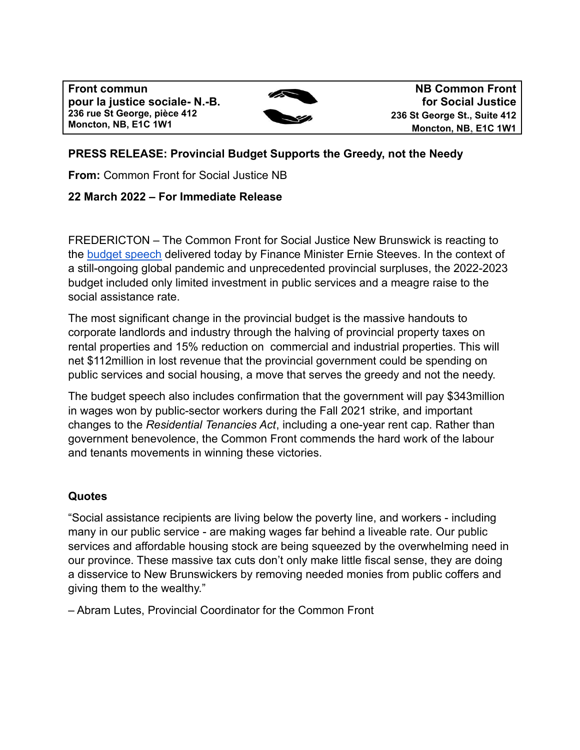**Front commun pour la justice sociale- N.-B. 236 rue St George, pièce 412 Moncton, NB, E1C 1W1**



**NB Common Front for Social Justice 236 St George St., Suite 412 Moncton, NB**, **E1C 1W1**

# **PRESS RELEASE: Provincial Budget Supports the Greedy, not the Needy**

**From:** Common Front for Social Justice NB

# **22 March 2022 – For Immediate Release**

FREDERICTON – The Common Front for Social Justice New Brunswick is reacting to the [budget speech](https://www2.gnb.ca/content/dam/gnb/Departments/fin/pdf/Budget/2022-2023/speech-2022-2023.pdf) delivered today by Finance Minister Ernie Steeves. In the context of a still-ongoing global pandemic and unprecedented provincial surpluses, the 2022-2023 budget included only limited investment in public services and a meagre raise to the social assistance rate.

The most significant change in the provincial budget is the massive handouts to corporate landlords and industry through the halving of provincial property taxes on rental properties and 15% reduction on commercial and industrial properties. This will net \$112million in lost revenue that the provincial government could be spending on public services and social housing, a move that serves the greedy and not the needy.

The budget speech also includes confirmation that the government will pay \$343million in wages won by public-sector workers during the Fall 2021 strike, and important changes to the *Residential Tenancies Act*, including a one-year rent cap. Rather than government benevolence, the Common Front commends the hard work of the labour and tenants movements in winning these victories.

# **Quotes**

"Social assistance recipients are living below the poverty line, and workers - including many in our public service - are making wages far behind a liveable rate. Our public services and affordable housing stock are being squeezed by the overwhelming need in our province. These massive tax cuts don't only make little fiscal sense, they are doing a disservice to New Brunswickers by removing needed monies from public coffers and giving them to the wealthy."

– Abram Lutes, Provincial Coordinator for the Common Front